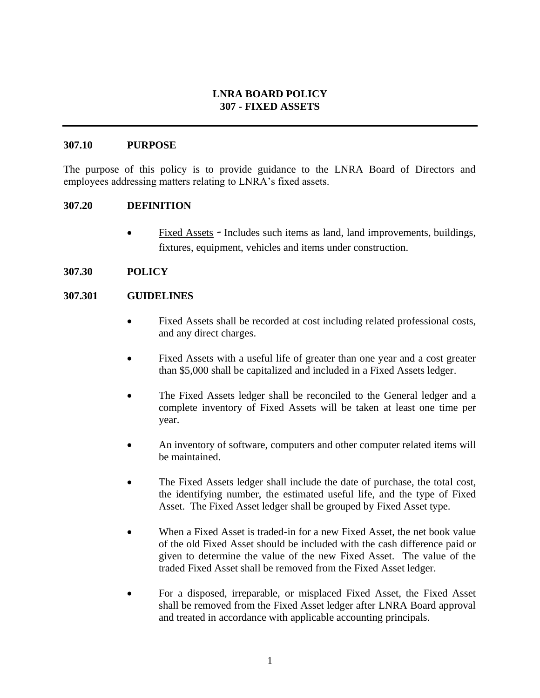### **LNRA BOARD POLICY 307 - FIXED ASSETS**

### **307.10 PURPOSE**

The purpose of this policy is to provide guidance to the LNRA Board of Directors and employees addressing matters relating to LNRA's fixed assets.

### **307.20 DEFINITION**

• Fixed Assets *-* Includes such items as land, land improvements, buildings, fixtures, equipment, vehicles and items under construction.

### **307.30 POLICY**

### **307.301 GUIDELINES**

- Fixed Assets shall be recorded at cost including related professional costs, and any direct charges.
- Fixed Assets with a useful life of greater than one year and a cost greater than \$5,000 shall be capitalized and included in a Fixed Assets ledger.
- The Fixed Assets ledger shall be reconciled to the General ledger and a complete inventory of Fixed Assets will be taken at least one time per year.
- An inventory of software, computers and other computer related items will be maintained.
- The Fixed Assets ledger shall include the date of purchase, the total cost, the identifying number, the estimated useful life, and the type of Fixed Asset. The Fixed Asset ledger shall be grouped by Fixed Asset type.
- When a Fixed Asset is traded-in for a new Fixed Asset, the net book value of the old Fixed Asset should be included with the cash difference paid or given to determine the value of the new Fixed Asset. The value of the traded Fixed Asset shall be removed from the Fixed Asset ledger.
- For a disposed, irreparable, or misplaced Fixed Asset, the Fixed Asset shall be removed from the Fixed Asset ledger after LNRA Board approval and treated in accordance with applicable accounting principals.